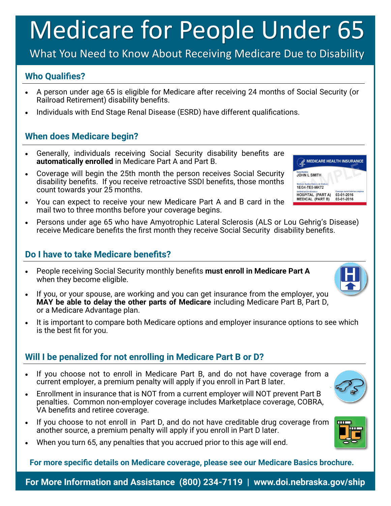# Medicare for People Under 65

## What You Need to Know About Receiving Medicare Due to Disability

#### **Who Qualifies?**

- A person under age 65 is eligible for Medicare after receiving 24 months of Social Security (or Railroad Retirement) disability benefits.
- Individuals with End Stage Renal Disease (ESRD) have different qualifications.

### **When does Medicare begin?**

- Generally, individuals receiving Social Security disability benefits are **automatically enrolled** in Medicare Part A and Part B.
- Coverage will begin the 25th month the person receives Social Security disability benefits. If you receive retroactive SSDI benefits, those months count towards your 25 months.
- You can expect to receive your new Medicare Part A and B card in the mail two to three months before your coverage begins.
- Persons under age 65 who have Amyotrophic Lateral Sclerosis (ALS or Lou Gehrig's Disease) receive Medicare benefits the first month they receive Social Security disability benefits.

#### **Do I have to take Medicare benefits?**

- People receiving Social Security monthly benefits **must enroll in Medicare Part A** when they become eligible.
- If you, or your spouse, are working and you can get insurance from the employer, you **MAY be able to delay the other parts of Medicare** including Medicare Part B, Part D, or a Medicare Advantage plan.
- It is important to compare both Medicare options and employer insurance options to see which is the best fit for you.

#### **Will I be penalized for not enrolling in Medicare Part B or D?**

- If you choose not to enroll in Medicare Part B, and do not have coverage from a current employer, a premium penalty will apply if you enroll in Part B later.
- Enrollment in insurance that is NOT from a current employer will NOT prevent Part B penalties. Common non-employer coverage includes Marketplace coverage, COBRA, VA benefits and retiree coverage.
- If you choose to not enroll in Part D, and do not have creditable drug coverage from another source, a premium penalty will apply if you enroll in Part D later.
- When you turn 65, any penalties that you accrued prior to this age will end.

**For more specific details on Medicare coverage, please see our Medicare Basics brochure.**

**For More Information and Assistance (800) 234-7119 | www.doi.nebraska.gov/ship**